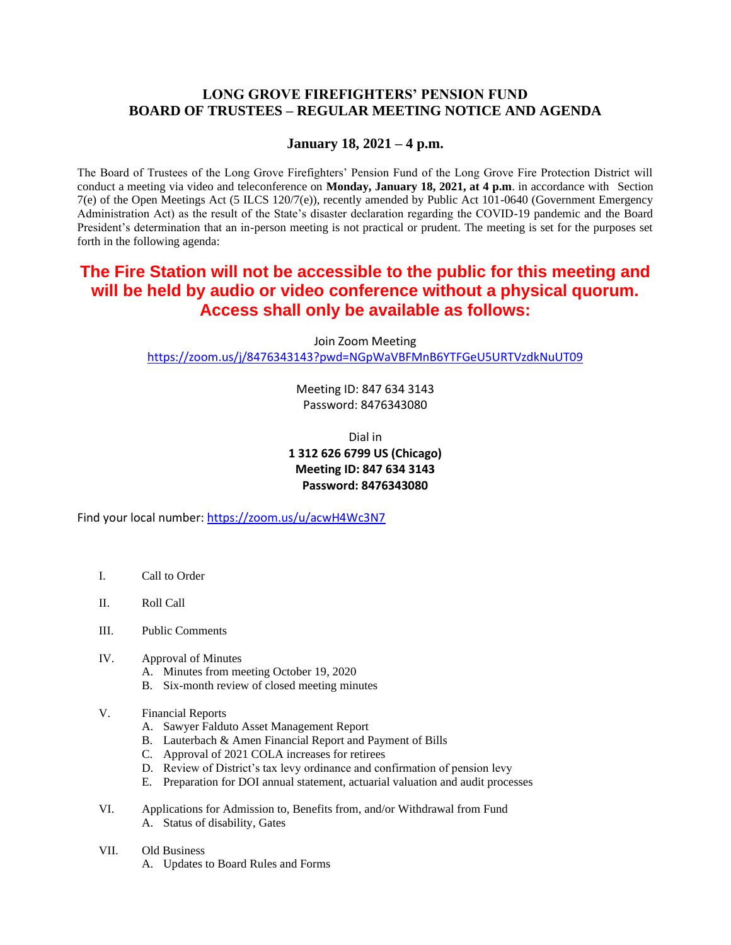## **LONG GROVE FIREFIGHTERS' PENSION FUND BOARD OF TRUSTEES – REGULAR MEETING NOTICE AND AGENDA**

### **January 18, 2021 – 4 p.m.**

The Board of Trustees of the Long Grove Firefighters' Pension Fund of the Long Grove Fire Protection District will conduct a meeting via video and teleconference on **Monday, January 18, 2021, at 4 p.m**. in accordance with Section 7(e) of the Open Meetings Act (5 ILCS 120/7(e)), recently amended by Public Act 101-0640 (Government Emergency Administration Act) as the result of the State's disaster declaration regarding the COVID-19 pandemic and the Board President's determination that an in-person meeting is not practical or prudent. The meeting is set for the purposes set forth in the following agenda:

# **The Fire Station will not be accessible to the public for this meeting and will be held by audio or video conference without a physical quorum. Access shall only be available as follows:**

Join Zoom Meeting <https://zoom.us/j/8476343143?pwd=NGpWaVBFMnB6YTFGeU5URTVzdkNuUT09>

> Meeting ID: 847 634 3143 Password: 8476343080

# Dial in **1 312 626 6799 US (Chicago) Meeting ID: 847 634 3143 Password: 8476343080**

Find your local number[: https://zoom.us/u/acwH4Wc3N7](https://zoom.us/u/acwH4Wc3N7)

- I. Call to Order
- II. Roll Call
- III. Public Comments
- IV. Approval of Minutes
	- A. Minutes from meeting October 19, 2020
	- B. Six-month review of closed meeting minutes
- V. Financial Reports
	- A. Sawyer Falduto Asset Management Report
	- B. Lauterbach & Amen Financial Report and Payment of Bills
	- C. Approval of 2021 COLA increases for retirees
	- D. Review of District's tax levy ordinance and confirmation of pension levy
	- E. Preparation for DOI annual statement, actuarial valuation and audit processes
- VI. Applications for Admission to, Benefits from, and/or Withdrawal from Fund A. Status of disability, Gates
- VII. Old Business
	- A. Updates to Board Rules and Forms